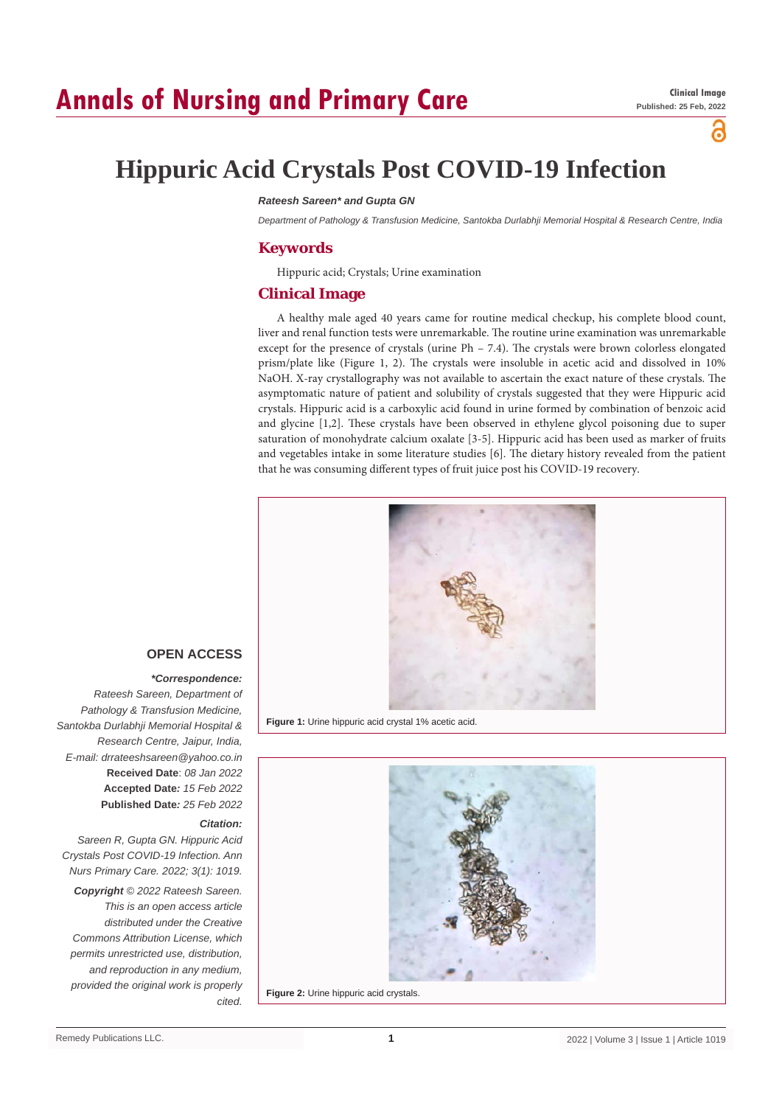# **Annals of Nursing and Primary Care**

്

# **Hippuric Acid Crystals Post COVID-19 Infection**

#### *Rateesh Sareen\* and Gupta GN*

*Department of Pathology & Transfusion Medicine, Santokba Durlabhji Memorial Hospital & Research Centre, India*

### **Keywords**

Hippuric acid; Crystals; Urine examination

### **Clinical Image**

A healthy male aged 40 years came for routine medical checkup, his complete blood count, liver and renal function tests were unremarkable. The routine urine examination was unremarkable except for the presence of crystals (urine Ph – 7.4). The crystals were brown colorless elongated prism/plate like (Figure 1, 2). The crystals were insoluble in acetic acid and dissolved in 10% NaOH. X-ray crystallography was not available to ascertain the exact nature of these crystals. The asymptomatic nature of patient and solubility of crystals suggested that they were Hippuric acid crystals. Hippuric acid is a carboxylic acid found in urine formed by combination of benzoic acid and glycine [1,2]. These crystals have been observed in ethylene glycol poisoning due to super saturation of monohydrate calcium oxalate [3-5]. Hippuric acid has been used as marker of fruits and vegetables intake in some literature studies [6]. The dietary history revealed from the patient that he was consuming different types of fruit juice post his COVID-19 recovery.



**Figure 1:** Urine hippuric acid crystal 1% acetic acid.



## **OPEN ACCESS**

#### *\*Correspondence:*

*Rateesh Sareen, Department of Pathology & Transfusion Medicine, Santokba Durlabhji Memorial Hospital & Research Centre, Jaipur, India, E-mail: drrateeshsareen@yahoo.co.in* **Received Date**: *08 Jan 2022* **Accepted Date***: 15 Feb 2022* **Published Date***: 25 Feb 2022*

#### *Citation:*

*Sareen R, Gupta GN. Hippuric Acid Crystals Post COVID-19 Infection. Ann Nurs Primary Care. 2022; 3(1): 1019. Copyright © 2022 Rateesh Sareen. This is an open access article distributed under the Creative Commons Attribution License, which permits unrestricted use, distribution, and reproduction in any medium, provided the original work is properly cited.*